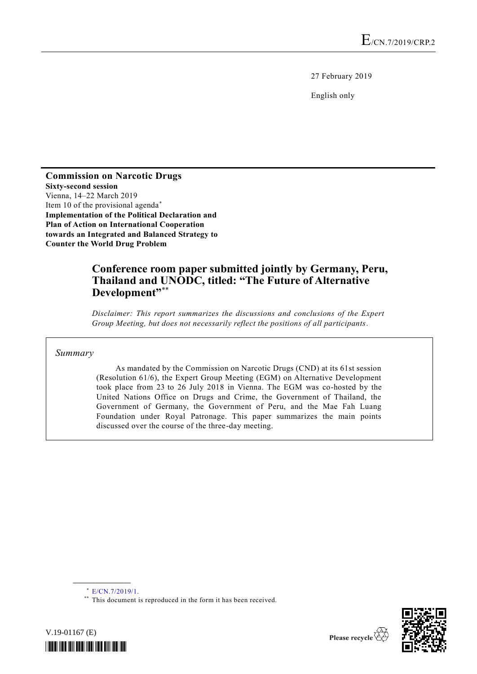27 February 2019

English only

**Commission on Narcotic Drugs Sixty-second session** Vienna, 14–22 March 2019 Item 10 of the provisional agenda\* **Implementation of the Political Declaration and Plan of Action on International Cooperation towards an Integrated and Balanced Strategy to Counter the World Drug Problem**

## **Conference room paper submitted jointly by Germany, Peru, Thailand and UNODC, titled: "The Future of Alternative**  Development"\*\*

*Disclaimer: This report summarizes the discussions and conclusions of the Expert Group Meeting, but does not necessarily reflect the positions of all participants.*

*Summary*

As mandated by the Commission on Narcotic Drugs (CND) at its 61st session (Resolution 61/6), the Expert Group Meeting (EGM) on Alternative Development took place from 23 to 26 July 2018 in Vienna. The EGM was co-hosted by the United Nations Office on Drugs and Crime, the Government of Thailand, the Government of Germany, the Government of Peru, and the Mae Fah Luang Foundation under Royal Patronage. This paper summarizes the main points discussed over the course of the three-day meeting.

**\_\_\_\_\_\_\_\_\_\_\_\_\_\_\_\_\_\_**

V.19-01167 (E)

<sup>\*\*</sup> This document is reproduced in the form it has been received.





<sup>\*</sup> [E/CN.7/2019/1.](http://undocs.org/E/CN.7/2019/1)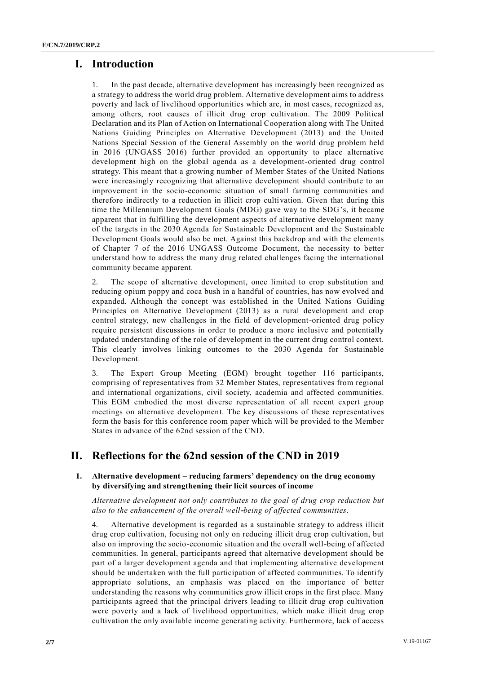## **I. Introduction**

In the past decade, alternative development has increasingly been recognized as a strategy to address the world drug problem. Alternative development aims to address poverty and lack of livelihood opportunities which are, in most cases, recognized as, among others, root causes of illicit drug crop cultivation. The 2009 Political Declaration and its Plan of Action on International Cooperation along with The United Nations Guiding Principles on Alternative Development (2013) and the United Nations Special Session of the General Assembly on the world drug problem held in 2016 (UNGASS 2016) further provided an opportunity to place alternative development high on the global agenda as a development-oriented drug control strategy. This meant that a growing number of Member States of the United Nations were increasingly recognizing that alternative development should contribute to an improvement in the socio-economic situation of small farming communities and therefore indirectly to a reduction in illicit crop cultivation. Given that during this time the Millennium Development Goals (MDG) gave way to the SDG's, it became apparent that in fulfilling the development aspects of alternative development many of the targets in the 2030 Agenda for Sustainable Development and the Sustainable Development Goals would also be met. Against this backdrop and with the elements of Chapter 7 of the 2016 UNGASS Outcome Document, the necessity to better understand how to address the many drug related challenges facing the international community became apparent.

2. The scope of alternative development, once limited to crop substitution and reducing opium poppy and coca bush in a handful of countries, has now evolved and expanded. Although the concept was established in the United Nations Guiding Principles on Alternative Development (2013) as a rural development and crop control strategy, new challenges in the field of development-oriented drug policy require persistent discussions in order to produce a more inclusive and potentially updated understanding of the role of development in the current drug control context. This clearly involves linking outcomes to the 2030 Agenda for Sustainable Development.

3. The Expert Group Meeting (EGM) brought together 116 participants, comprising of representatives from 32 Member States, representatives from regional and international organizations, civil society, academia and affected communities. This EGM embodied the most diverse representation of all recent expert group meetings on alternative development. The key discussions of these representatives form the basis for this conference room paper which will be provided to the Member States in advance of the 62nd session of the CND.

# **II. Reflections for the 62nd session of the CND in 2019**

## **1. Alternative development – reducing farmers' dependency on the drug economy by diversifying and strengthening their licit sources of income**

*Alternative development not only contributes to the goal of drug crop reduction but also to the enhancement of the overall well***-***being of affected communities*.

4. Alternative development is regarded as a sustainable strategy to address illicit drug crop cultivation, focusing not only on reducing illicit drug crop cultivation, but also on improving the socio-economic situation and the overall well-being of affected communities. In general, participants agreed that alternative development should be part of a larger development agenda and that implementing alternative development should be undertaken with the full participation of affected communities. To identify appropriate solutions, an emphasis was placed on the importance of better understanding the reasons why communities grow illicit crops in the first place. Many participants agreed that the principal drivers leading to illicit drug crop cultivation were poverty and a lack of livelihood opportunities, which make illicit drug crop cultivation the only available income generating activity. Furthermore, lack of access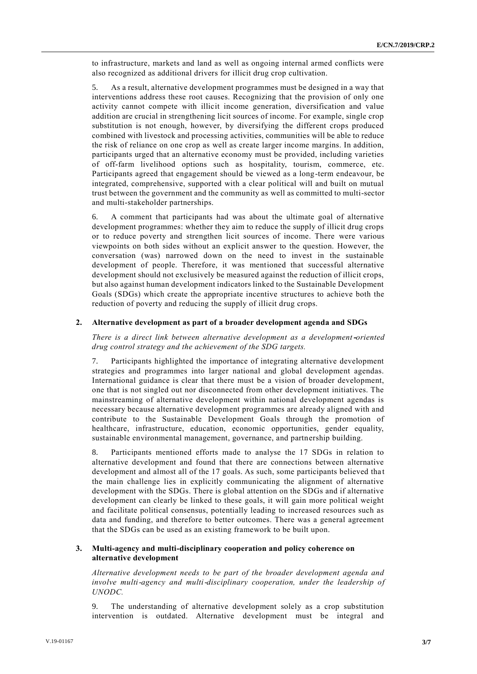to infrastructure, markets and land as well as ongoing internal armed conflicts were also recognized as additional drivers for illicit drug crop cultivation.

5. As a result, alternative development programmes must be designed in a way that interventions address these root causes. Recognizing that the provision of only one activity cannot compete with illicit income generation, diversification and value addition are crucial in strengthening licit sources of income. For example, single crop substitution is not enough, however, by diversifying the different crops produced combined with livestock and processing activities, communities will be able to reduce the risk of reliance on one crop as well as create larger income margins. In addition, participants urged that an alternative economy must be provided, including varieties of off-farm livelihood options such as hospitality, tourism, commerce, etc. Participants agreed that engagement should be viewed as a long-term endeavour, be integrated, comprehensive, supported with a clear political will and built on mutual trust between the government and the community as well as committed to multi-sector and multi-stakeholder partnerships.

6. A comment that participants had was about the ultimate goal of alternative development programmes: whether they aim to reduce the supply of illicit drug crops or to reduce poverty and strengthen licit sources of income. There were various viewpoints on both sides without an explicit answer to the question. However, the conversation (was) narrowed down on the need to invest in the sustainable development of people. Therefore, it was mentioned that successful alternative development should not exclusively be measured against the reduction of illicit crops, but also against human development indicators linked to the Sustainable Development Goals (SDGs) which create the appropriate incentive structures to achieve both the reduction of poverty and reducing the supply of illicit drug crops.

### **2. Alternative development as part of a broader development agenda and SDGs**

*There is a direct link between alternative development as a development***-***oriented drug control strategy and the achievement of the SDG targets.*

7. Participants highlighted the importance of integrating alternative development strategies and programmes into larger national and global development agendas. International guidance is clear that there must be a vision of broader development, one that is not singled out nor disconnected from other development initiatives. The mainstreaming of alternative development within national development agendas is necessary because alternative development programmes are already aligned with and contribute to the Sustainable Development Goals through the promotion of healthcare, infrastructure, education, economic opportunities, gender equality, sustainable environmental management, governance, and partnership building.

8. Participants mentioned efforts made to analyse the 17 SDGs in relation to alternative development and found that there are connections between alternative development and almost all of the 17 goals. As such, some participants believed tha t the main challenge lies in explicitly communicating the alignment of alternative development with the SDGs. There is global attention on the SDGs and if alternative development can clearly be linked to these goals, it will gain more political weight and facilitate political consensus, potentially leading to increased resources such as data and funding, and therefore to better outcomes. There was a general agreement that the SDGs can be used as an existing framework to be built upon.

## **3. Multi-agency and multi-disciplinary cooperation and policy coherence on alternative development**

*Alternative development needs to be part of the broader development agenda and involve multi*-*agency and multi*-*disciplinary cooperation, under the leadership of UNODC.*

9. The understanding of alternative development solely as a crop substitution intervention is outdated. Alternative development must be integral and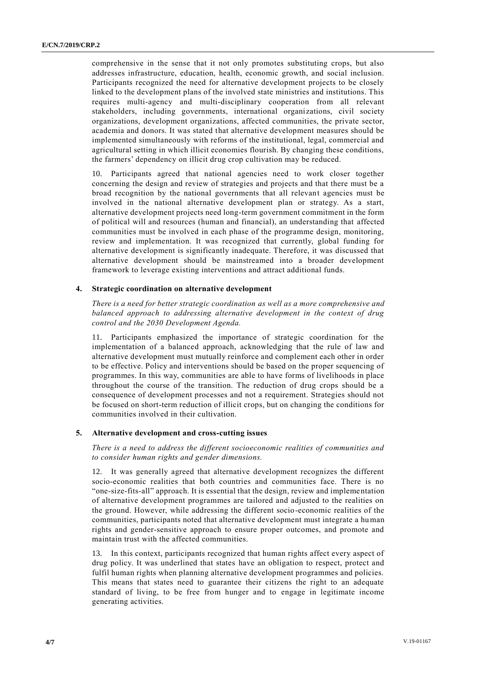comprehensive in the sense that it not only promotes substituting crops, but also addresses infrastructure, education, health, economic growth, and social inclusion. Participants recognized the need for alternative development projects to be closely linked to the development plans of the involved state ministries and institutions. This requires multi-agency and multi-disciplinary cooperation from all relevant stakeholders, including governments, international organizations, civil society organizations, development organizations, affected communities, the private sector, academia and donors. It was stated that alternative development measures should be implemented simultaneously with reforms of the institutional, legal, commercial and agricultural setting in which illicit economies flourish. By changing these conditions, the farmers' dependency on illicit drug crop cultivation may be reduced.

10. Participants agreed that national agencies need to work closer together concerning the design and review of strategies and projects and that there must be a broad recognition by the national governments that all relevant agencies must be involved in the national alternative development plan or strategy. As a start, alternative development projects need long-term government commitment in the form of political will and resources (human and financial), an understanding that affected communities must be involved in each phase of the programme design, monitoring, review and implementation. It was recognized that currently, global funding for alternative development is significantly inadequate. Therefore, it was discussed that alternative development should be mainstreamed into a broader development framework to leverage existing interventions and attract additional funds.

## **4. Strategic coordination on alternative development**

*There is a need for better strategic coordination as well as a more comprehensive and balanced approach to addressing alternative development in the context of drug control and the 2030 Development Agenda.*

11. Participants emphasized the importance of strategic coordination for the implementation of a balanced approach, acknowledging that the rule of law and alternative development must mutually reinforce and complement each other in order to be effective. Policy and interventions should be based on the proper sequencing of programmes. In this way, communities are able to have forms of livelihoods in place throughout the course of the transition. The reduction of drug crops should be a consequence of development processes and not a requirement. Strategies should not be focused on short-term reduction of illicit crops, but on changing the conditions for communities involved in their cultivation.

## **5. Alternative development and cross-cutting issues**

*There is a need to address the different socioeconomic realities of communities and to consider human rights and gender dimensions.*

12. It was generally agreed that alternative development recognizes the different socio-economic realities that both countries and communities face. There is no "one-size-fits-all" approach. It is essential that the design, review and implementation of alternative development programmes are tailored and adjusted to the realities on the ground. However, while addressing the different socio-economic realities of the communities, participants noted that alternative development must integrate a human rights and gender-sensitive approach to ensure proper outcomes, and promote and maintain trust with the affected communities.

13. In this context, participants recognized that human rights affect every aspect of drug policy. It was underlined that states have an obligation to respect, protect and fulfil human rights when planning alternative development programmes and policies. This means that states need to guarantee their citizens the right to an adequate standard of living, to be free from hunger and to engage in legitimate income generating activities.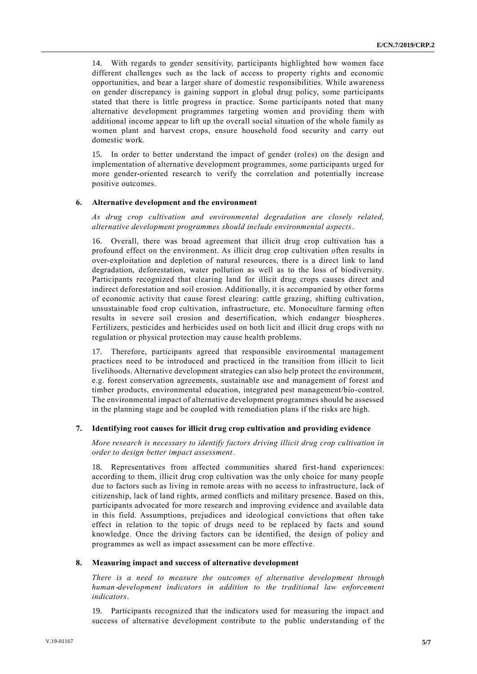14. With regards to gender sensitivity, participants highlighted how women face different challenges such as the lack of access to property rights and economic opportunities, and bear a larger share of domestic responsibilities. While awareness on gender discrepancy is gaining support in global drug policy, some participants stated that there is little progress in practice. Some participants noted that many alternative development programmes targeting women and providing them with additional income appear to lift up the overall social situation of the whole family as women plant and harvest crops, ensure household food security and carry out domestic work.

15. In order to better understand the impact of gender (roles) on the design and implementation of alternative development programmes, some participants urged for more gender-oriented research to verify the correlation and potentially increase positive outcomes.

## **6. Alternative development and the environment**

*As drug crop cultivation and environmental degradation are closely related, alternative development programmes should include environmental aspects*.

16. Overall, there was broad agreement that illicit drug crop cultivation has a profound effect on the environment. As illicit drug crop cultivation often results in over-exploitation and depletion of natural resources, there is a direct link to land degradation, deforestation, water pollution as well as to the loss of biodiversity. Participants recognized that clearing land for illicit drug crops causes direct and indirect deforestation and soil erosion. Additionally, it is accompanied by other forms of economic activity that cause forest clearing: cattle grazing, shifting cultivation, unsustainable food crop cultivation, infrastructure, etc. Monoculture farming often results in severe soil erosion and desertification, which endanger biospheres. Fertilizers, pesticides and herbicides used on both licit and illicit drug crops with no regulation or physical protection may cause health problems.

17. Therefore, participants agreed that responsible environmental management practices need to be introduced and practiced in the transition from illicit to licit livelihoods. Alternative development strategies can also help protect the environment, e.g. forest conservation agreements, sustainable use and management of forest and timber products, environmental education, integrated pest management/bio-control. The environmental impact of alternative development programmes should be assessed in the planning stage and be coupled with remediation plans if the risks are high.

### **7. Identifying root causes for illicit drug crop cultivation and providing evidence**

*More research is necessary to identify factors driving illicit drug crop cultivation in order to design better impact assessment*.

18. Representatives from affected communities shared first-hand experiences: according to them, illicit drug crop cultivation was the only choice for many people due to factors such as living in remote areas with no access to infrastructure, lack of citizenship, lack of land rights, armed conflicts and military presence. Based on this, participants advocated for more research and improving evidence and available data in this field. Assumptions, prejudices and ideological convictions that often take effect in relation to the topic of drugs need to be replaced by facts and sound knowledge. Once the driving factors can be identified, the design of policy and programmes as well as impact assessment can be more effective.

### **8. Measuring impact and success of alternative development**

*There is a need to measure the outcomes of alternative development through human*-*development indicators in addition to the traditional law enforcement indicators*.

19. Participants recognized that the indicators used for measuring the impact and success of alternative development contribute to the public understanding of the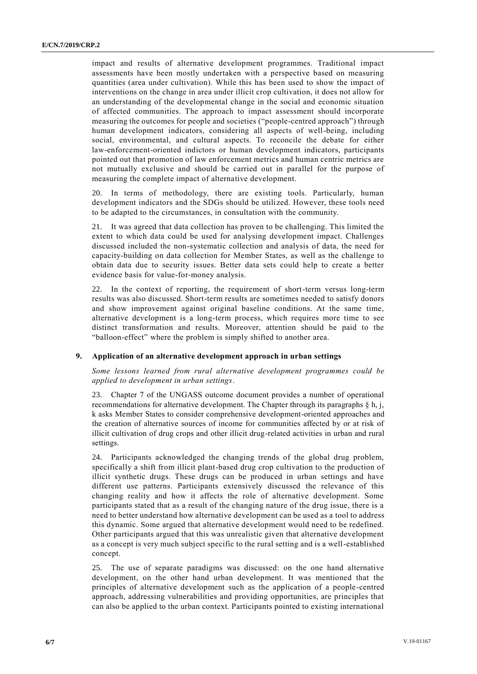impact and results of alternative development programmes. Traditional impact assessments have been mostly undertaken with a perspective based on measuring quantities (area under cultivation). While this has been used to show the impact of interventions on the change in area under illicit crop cultivation, it does not allow for an understanding of the developmental change in the social and economic situation of affected communities. The approach to impact assessment should incorporate measuring the outcomes for people and societies ("people-centred approach") through human development indicators, considering all aspects of well-being, including social, environmental, and cultural aspects. To reconcile the debate for either law-enforcement-oriented indictors or human development indicators, participants pointed out that promotion of law enforcement metrics and human centric metrics are not mutually exclusive and should be carried out in parallel for the purpose of measuring the complete impact of alternative development.

20. In terms of methodology, there are existing tools. Particularly, human development indicators and the SDGs should be utilized. However, these tools need to be adapted to the circumstances, in consultation with the community.

21. It was agreed that data collection has proven to be challenging. This limited the extent to which data could be used for analysing development impact. Challenges discussed included the non-systematic collection and analysis of data, the need for capacity-building on data collection for Member States, as well as the challenge to obtain data due to security issues. Better data sets could help to create a better evidence basis for value-for-money analysis.

22. In the context of reporting, the requirement of short-term versus long-term results was also discussed. Short-term results are sometimes needed to satisfy donors and show improvement against original baseline conditions. At the same time, alternative development is a long-term process, which requires more time to see distinct transformation and results. Moreover, attention should be paid to the "balloon-effect" where the problem is simply shifted to another area.

### **9. Application of an alternative development approach in urban settings**

*Some lessons learned from rural alternative development programmes could be applied to development in urban settings*.

23. Chapter 7 of the UNGASS outcome document provides a number of operational recommendations for alternative development. The Chapter through its paragraphs  $\S h$ , j, k asks Member States to consider comprehensive development-oriented approaches and the creation of alternative sources of income for communities affected by or at risk of illicit cultivation of drug crops and other illicit drug-related activities in urban and rural settings.

24. Participants acknowledged the changing trends of the global drug problem, specifically a shift from illicit plant-based drug crop cultivation to the production of illicit synthetic drugs. These drugs can be produced in urban settings and have different use patterns. Participants extensively discussed the relevance of this changing reality and how it affects the role of alternative development. Some participants stated that as a result of the changing nature of the drug issue, there is a need to better understand how alternative development can be used as a tool to address this dynamic. Some argued that alternative development would need to be redefined. Other participants argued that this was unrealistic given that alternative development as a concept is very much subject specific to the rural setting and is a well-established concept.

25. The use of separate paradigms was discussed: on the one hand alternative development, on the other hand urban development. It was mentioned that the principles of alternative development such as the application of a people-centred approach, addressing vulnerabilities and providing opportunities, are principles that can also be applied to the urban context. Participants pointed to existing international